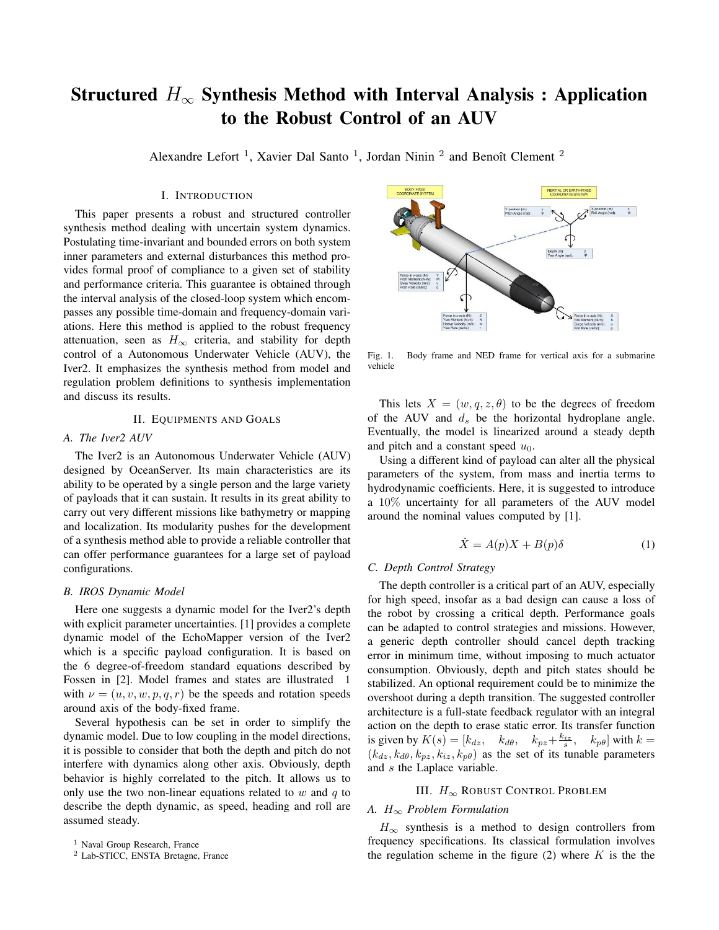# Structured  $H_{\infty}$  Synthesis Method with Interval Analysis : Application to the Robust Control of an AUV

Alexandre Lefort<sup>1</sup>, Xavier Dal Santo<sup>1</sup>, Jordan Ninin<sup>2</sup> and Benoît Clement<sup>2</sup>

# I. INTRODUCTION

This paper presents a robust and structured controller synthesis method dealing with uncertain system dynamics. Postulating time-invariant and bounded errors on both system inner parameters and external disturbances this method provides formal proof of compliance to a given set of stability and performance criteria. This guarantee is obtained through the interval analysis of the closed-loop system which encompasses any possible time-domain and frequency-domain variations. Here this method is applied to the robust frequency attenuation, seen as  $H_{\infty}$  criteria, and stability for depth control of a Autonomous Underwater Vehicle (AUV), the Iver2. It emphasizes the synthesis method from model and regulation problem definitions to synthesis implementation and discuss its results.

## II. EQUIPMENTS AND GOALS

# *A. The Iver2 AUV*

The Iver2 is an Autonomous Underwater Vehicle (AUV) designed by OceanServer. Its main characteristics are its ability to be operated by a single person and the large variety of payloads that it can sustain. It results in its great ability to carry out very different missions like bathymetry or mapping and localization. Its modularity pushes for the development of a synthesis method able to provide a reliable controller that can offer performance guarantees for a large set of payload configurations.

#### *B. IROS Dynamic Model*

Here one suggests a dynamic model for the Iver2's depth with explicit parameter uncertainties. [1] provides a complete dynamic model of the EchoMapper version of the Iver2 which is a specific payload configuration. It is based on the 6 degree-of-freedom standard equations described by Fossen in [2]. Model frames and states are illustrated 1 with  $\nu = (u, v, w, p, q, r)$  be the speeds and rotation speeds around axis of the body-fixed frame.

Several hypothesis can be set in order to simplify the dynamic model. Due to low coupling in the model directions, it is possible to consider that both the depth and pitch do not interfere with dynamics along other axis. Obviously, depth behavior is highly correlated to the pitch. It allows us to only use the two non-linear equations related to  $w$  and  $q$  to describe the depth dynamic, as speed, heading and roll are assumed steady.



Fig. 1. Body frame and NED frame for vertical axis for a submarine vehicle

This lets  $X = (w, q, z, \theta)$  to be the degrees of freedom of the AUV and  $d_s$  be the horizontal hydroplane angle. Eventually, the model is linearized around a steady depth and pitch and a constant speed  $u_0$ .

Using a different kind of payload can alter all the physical parameters of the system, from mass and inertia terms to hydrodynamic coefficients. Here, it is suggested to introduce a 10% uncertainty for all parameters of the AUV model around the nominal values computed by [1].

$$
\dot{X} = A(p)X + B(p)\delta \tag{1}
$$

# *C. Depth Control Strategy*

The depth controller is a critical part of an AUV, especially for high speed, insofar as a bad design can cause a loss of the robot by crossing a critical depth. Performance goals can be adapted to control strategies and missions. However, a generic depth controller should cancel depth tracking error in minimum time, without imposing to much actuator consumption. Obviously, depth and pitch states should be stabilized. An optional requirement could be to minimize the overshoot during a depth transition. The suggested controller architecture is a full-state feedback regulator with an integral action on the depth to erase static error. Its transfer function is given by  $K(s) = [k_{dz}, k_{d\theta}, k_{pz} + \frac{k_{iz}}{s}, k_{p\theta}]$  with  $k =$  $(k_{dz}, k_{d\theta}, k_{pz}, k_{iz}, k_{p\theta})$  as the set of its tunable parameters and s the Laplace variable.

## III.  $H_{\infty}$  ROBUST CONTROL PROBLEM

#### *A.* H<sup>∞</sup> *Problem Formulation*

 $H_{\infty}$  synthesis is a method to design controllers from frequency specifications. Its classical formulation involves the regulation scheme in the figure  $(2)$  where K is the the

<sup>&</sup>lt;sup>1</sup> Naval Group Research, France

<sup>2</sup> Lab-STICC, ENSTA Bretagne, France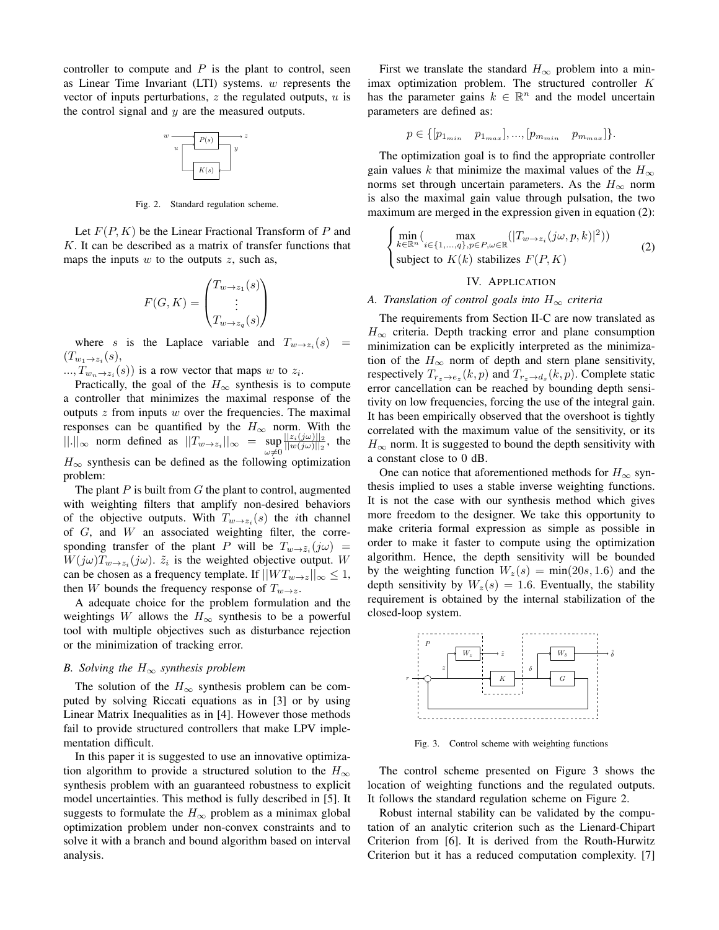controller to compute and  $P$  is the plant to control, seen as Linear Time Invariant (LTI) systems.  $w$  represents the vector of inputs perturbations,  $z$  the regulated outputs,  $u$  is the control signal and  $y$  are the measured outputs.



Fig. 2. Standard regulation scheme.

Let  $F(P, K)$  be the Linear Fractional Transform of P and  $K$ . It can be described as a matrix of transfer functions that maps the inputs  $w$  to the outputs  $z$ , such as,

$$
F(G, K) = \begin{pmatrix} T_{w \to z_1}(s) \\ \vdots \\ T_{w \to z_q}(s) \end{pmatrix}
$$

where s is the Laplace variable and  $T_{w \to z_i}(s)$  =  $(T_{w_1\rightarrow z_i}(s),$ 

 $..., T_{w_n \to z_i}(s))$  is a row vector that maps w to  $z_i$ .

Practically, the goal of the  $H_{\infty}$  synthesis is to compute a controller that minimizes the maximal response of the outputs  $z$  from inputs  $w$  over the frequencies. The maximal responses can be quantified by the  $H_{\infty}$  norm. With the  $||.||_{\infty}$  norm defined as  $||T_{w\to z_i}||_{\infty} = \sup_{\omega \neq 0}$  $||z_i(j\omega)||_2$  $\frac{||z_i(y\omega)||_2}{||w(j\omega)||_2}$ , the  $H_{\infty}$  synthesis can be defined as the following optimization problem:

The plant  $P$  is built from  $G$  the plant to control, augmented with weighting filters that amplify non-desired behaviors of the objective outputs. With  $T_{w \to z_i}(s)$  the *i*th channel of  $G$ , and  $W$  an associated weighting filter, the corresponding transfer of the plant P will be  $T_{w\to \tilde{z}_i}(j\omega)$  =  $W(j\omega)T_{w\rightarrow z_i}(j\omega)$ .  $\tilde{z}_i$  is the weighted objective output. W can be chosen as a frequency template. If  $||WT_{w\rightarrow z}||_{\infty} \leq 1$ , then W bounds the frequency response of  $T_{w\to z}$ .

A adequate choice for the problem formulation and the weightings W allows the  $H_{\infty}$  synthesis to be a powerful tool with multiple objectives such as disturbance rejection or the minimization of tracking error.

#### *B. Solving the* H<sup>∞</sup> *synthesis problem*

The solution of the  $H_{\infty}$  synthesis problem can be computed by solving Riccati equations as in [3] or by using Linear Matrix Inequalities as in [4]. However those methods fail to provide structured controllers that make LPV implementation difficult.

In this paper it is suggested to use an innovative optimization algorithm to provide a structured solution to the  $H_{\infty}$ synthesis problem with an guaranteed robustness to explicit model uncertainties. This method is fully described in [5]. It suggests to formulate the  $H_{\infty}$  problem as a minimax global optimization problem under non-convex constraints and to solve it with a branch and bound algorithm based on interval analysis.

First we translate the standard  $H_{\infty}$  problem into a minimax optimization problem. The structured controller K has the parameter gains  $k \in \mathbb{R}^n$  and the model uncertain parameters are defined as:

$$
p \in \{ [p_{1_{min}} \quad p_{1_{max}}], ..., [p_{m_{min}} \quad p_{m_{max}}] \}.
$$

The optimization goal is to find the appropriate controller gain values k that minimize the maximal values of the  $H_{\infty}$ norms set through uncertain parameters. As the  $H_{\infty}$  norm is also the maximal gain value through pulsation, the two maximum are merged in the expression given in equation (2):

$$
\begin{cases}\n\min_{k \in \mathbb{R}^n} (\max_{i \in \{1, ..., q\}, p \in P, \omega \in \mathbb{R}} (|T_{w \to z_i}(j\omega, p, k)|^2)) \\
\text{subject to } K(k) \text{ stabilizes } F(P, K)\n\end{cases} \tag{2}
$$

#### IV. APPLICATION

#### *A. Translation of control goals into*  $H_{\infty}$  *criteria*

The requirements from Section II-C are now translated as  $H_{\infty}$  criteria. Depth tracking error and plane consumption minimization can be explicitly interpreted as the minimization of the  $H_{\infty}$  norm of depth and stern plane sensitivity, respectively  $T_{r_z \to e_z}(k, p)$  and  $T_{r_z \to d_s}(k, p)$ . Complete static error cancellation can be reached by bounding depth sensitivity on low frequencies, forcing the use of the integral gain. It has been empirically observed that the overshoot is tightly correlated with the maximum value of the sensitivity, or its  $H_{\infty}$  norm. It is suggested to bound the depth sensitivity with a constant close to 0 dB.

One can notice that aforementioned methods for  $H_{\infty}$  synthesis implied to uses a stable inverse weighting functions. It is not the case with our synthesis method which gives more freedom to the designer. We take this opportunity to make criteria formal expression as simple as possible in order to make it faster to compute using the optimization algorithm. Hence, the depth sensitivity will be bounded by the weighting function  $W_z(s) = \min(20s, 1.6)$  and the depth sensitivity by  $W_z(s) = 1.6$ . Eventually, the stability requirement is obtained by the internal stabilization of the closed-loop system.



Fig. 3. Control scheme with weighting functions

The control scheme presented on Figure 3 shows the location of weighting functions and the regulated outputs. It follows the standard regulation scheme on Figure 2.

Robust internal stability can be validated by the computation of an analytic criterion such as the Lienard-Chipart Criterion from [6]. It is derived from the Routh-Hurwitz Criterion but it has a reduced computation complexity. [7]